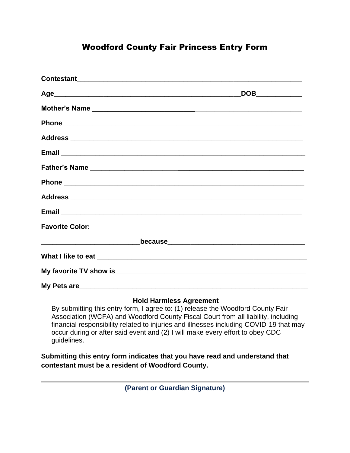## Woodford County Fair Princess Entry Form

|                        | DOB____________ |
|------------------------|-----------------|
|                        |                 |
|                        |                 |
|                        |                 |
|                        |                 |
|                        |                 |
|                        |                 |
|                        |                 |
|                        |                 |
| <b>Favorite Color:</b> |                 |
|                        |                 |
|                        |                 |
|                        |                 |
|                        |                 |

#### **Hold Harmless Agreement**

By submitting this entry form, I agree to: (1) release the Woodford County Fair Association (WCFA) and Woodford County Fiscal Court from all liability, including financial responsibility related to injuries and illnesses including COVID-19 that may occur during or after said event and (2) I will make every effort to obey CDC guidelines.

**Submitting this entry form indicates that you have read and understand that contestant must be a resident of Woodford County.**

**(Parent or Guardian Signature)**